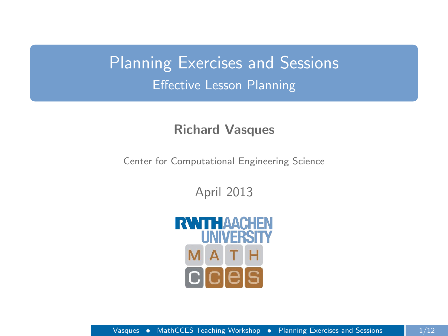Planning Exercises and Sessions Effective Lesson Planning

#### Richard Vasques

Center for Computational Engineering Science

<span id="page-0-0"></span>April 2013

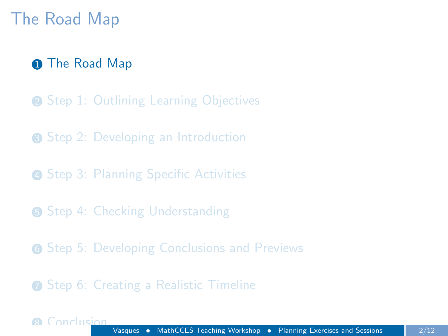### [The Road Map](#page-1-0)

#### **1** [The Road Map](#page-1-0)

- **2** [Step 1: Outlining Learning Objectives](#page-4-0)
- **3** [Step 2: Developing an Introduction](#page-7-0)
- **4 [Step 3: Planning Specific Activities](#page-9-0)**
- **6** [Step 4: Checking Understanding](#page-11-0)
- **6** [Step 5: Developing Conclusions and Previews](#page-13-0)
- <span id="page-1-0"></span>**•** [Step 6: Creating a Realistic Timeline](#page-15-0)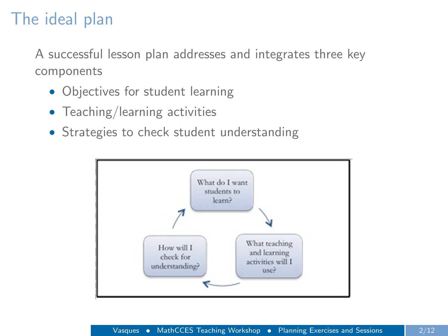# The ideal plan

A successful lesson plan addresses and integrates three key components

- Objectives for student learning
- Teaching/learning activities
- Strategies to check student understanding

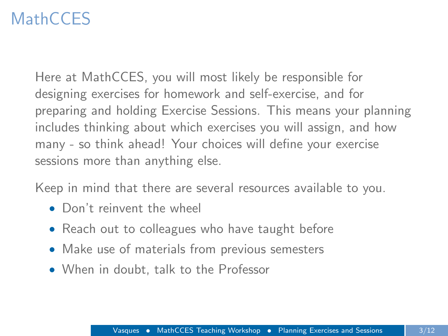# **MathCCES**

Here at MathCCES, you will most likely be responsible for designing exercises for homework and self-exercise, and for preparing and holding Exercise Sessions. This means your planning includes thinking about which exercises you will assign, and how many - so think ahead! Your choices will define your exercise sessions more than anything else.

Keep in mind that there are several resources available to you.

- Don't reinvent the wheel
- Reach out to colleagues who have taught before
- Make use of materials from previous semesters
- When in doubt, talk to the Professor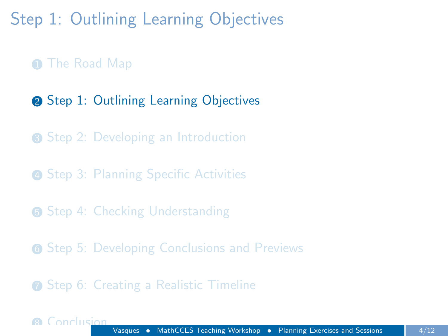[Step 1: Outlining Learning Objectives](#page-4-0)

#### **1** [The Road Map](#page-1-0)

#### **2** [Step 1: Outlining Learning Objectives](#page-4-0)

**3** [Step 2: Developing an Introduction](#page-7-0)

**4 [Step 3: Planning Specific Activities](#page-9-0)** 

**6** [Step 4: Checking Understanding](#page-11-0)

**6** [Step 5: Developing Conclusions and Previews](#page-13-0)

<span id="page-4-0"></span>**•** [Step 6: Creating a Realistic Timeline](#page-15-0)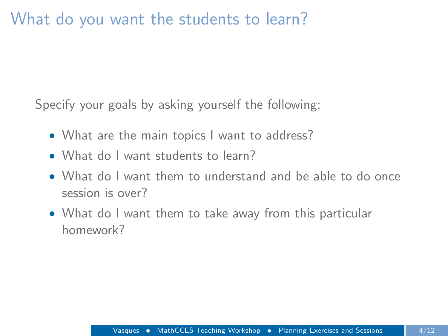## What do you want the students to learn?

Specify your goals by asking yourself the following:

- What are the main topics I want to address?
- What do I want students to learn?
- What do I want them to understand and be able to do once session is over?
- What do I want them to take away from this particular homework?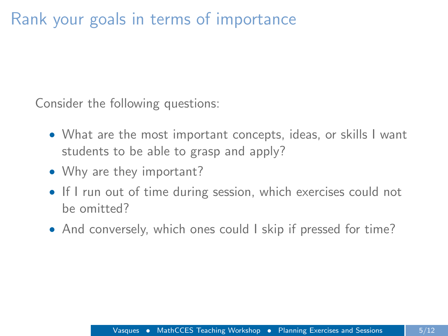# Rank your goals in terms of importance

Consider the following questions:

- What are the most important concepts, ideas, or skills I want students to be able to grasp and apply?
- Why are they important?
- If I run out of time during session, which exercises could not be omitted?
- And conversely, which ones could I skip if pressed for time?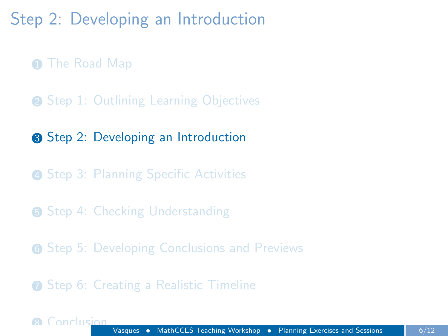[Step 2: Developing an Introduction](#page-7-0)

**1** [The Road Map](#page-1-0)

**2** [Step 1: Outlining Learning Objectives](#page-4-0)

**3** [Step 2: Developing an Introduction](#page-7-0)

**4 [Step 3: Planning Specific Activities](#page-9-0)** 

**6** [Step 4: Checking Understanding](#page-11-0)

**6** [Step 5: Developing Conclusions and Previews](#page-13-0)

<span id="page-7-0"></span>**•** [Step 6: Creating a Realistic Timeline](#page-15-0)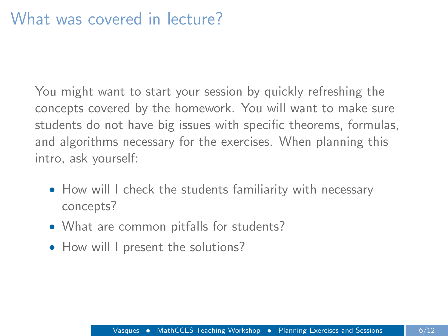### What was covered in lecture?

You might want to start your session by quickly refreshing the concepts covered by the homework. You will want to make sure students do not have big issues with specific theorems, formulas, and algorithms necessary for the exercises. When planning this intro, ask yourself:

- How will I check the students familiarity with necessary concepts?
- What are common pitfalls for students?
- How will I present the solutions?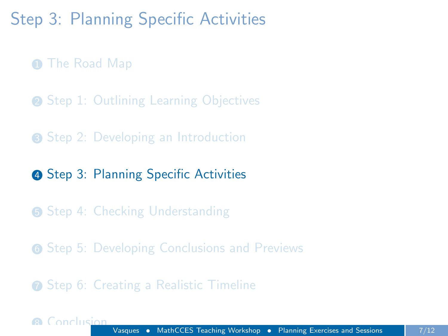[Step 3: Planning Specific Activities](#page-9-0)

**1** [The Road Map](#page-1-0)

**2** [Step 1: Outlining Learning Objectives](#page-4-0)

**3** [Step 2: Developing an Introduction](#page-7-0)

**4 [Step 3: Planning Specific Activities](#page-9-0)** 

**6** [Step 4: Checking Understanding](#page-11-0)

**6** [Step 5: Developing Conclusions and Previews](#page-13-0)

<span id="page-9-0"></span>**•** [Step 6: Creating a Realistic Timeline](#page-15-0)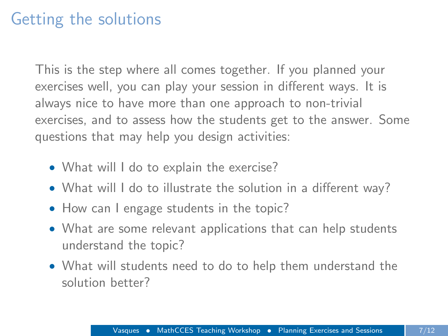### Getting the solutions

This is the step where all comes together. If you planned your exercises well, you can play your session in different ways. It is always nice to have more than one approach to non-trivial exercises, and to assess how the students get to the answer. Some questions that may help you design activities:

- What will I do to explain the exercise?
- What will I do to illustrate the solution in a different way?
- How can I engage students in the topic?
- What are some relevant applications that can help students understand the topic?
- What will students need to do to help them understand the solution better?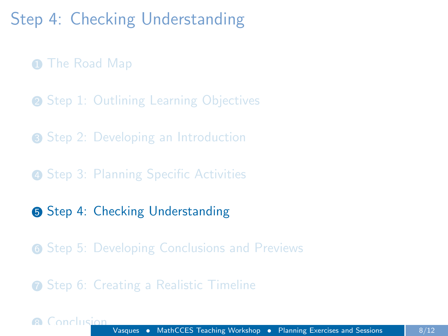# [Step 4: Checking Understanding](#page-11-0)

**1** [The Road Map](#page-1-0)

- **2** [Step 1: Outlining Learning Objectives](#page-4-0)
- **3** [Step 2: Developing an Introduction](#page-7-0)
- **4 [Step 3: Planning Specific Activities](#page-9-0)**
- **6** [Step 4: Checking Understanding](#page-11-0)
- **6** [Step 5: Developing Conclusions and Previews](#page-13-0)
- <span id="page-11-0"></span>**•** [Step 6: Creating a Realistic Timeline](#page-15-0)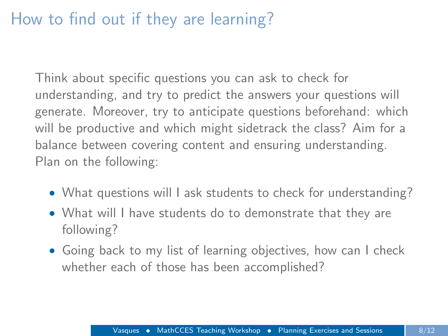# How to find out if they are learning?

Think about specific questions you can ask to check for understanding, and try to predict the answers your questions will generate. Moreover, try to anticipate questions beforehand: which will be productive and which might sidetrack the class? Aim for a balance between covering content and ensuring understanding. Plan on the following:

- What questions will I ask students to check for understanding?
- What will I have students do to demonstrate that they are following?
- Going back to my list of learning objectives, how can I check whether each of those has been accomplished?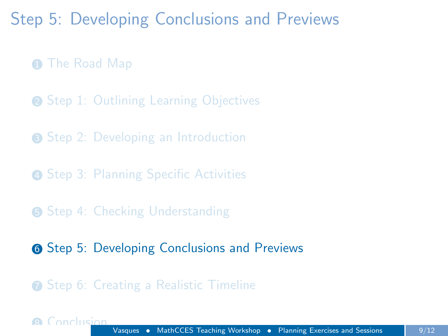[Step 5: Developing Conclusions and Previews](#page-13-0)

**1** [The Road Map](#page-1-0)

**2** [Step 1: Outlining Learning Objectives](#page-4-0)

**3** [Step 2: Developing an Introduction](#page-7-0)

**4 [Step 3: Planning Specific Activities](#page-9-0)** 

**6** [Step 4: Checking Understanding](#page-11-0)

**6** [Step 5: Developing Conclusions and Previews](#page-13-0)

<span id="page-13-0"></span>**•** [Step 6: Creating a Realistic Timeline](#page-15-0)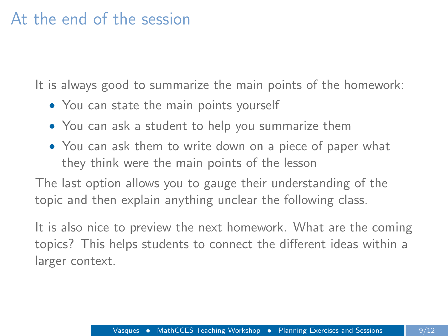### At the end of the session

It is always good to summarize the main points of the homework:

- You can state the main points yourself
- You can ask a student to help you summarize them
- You can ask them to write down on a piece of paper what they think were the main points of the lesson

The last option allows you to gauge their understanding of the topic and then explain anything unclear the following class.

It is also nice to preview the next homework. What are the coming topics? This helps students to connect the different ideas within a larger context.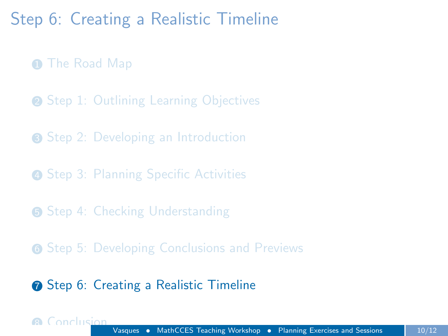# [Step 6: Creating a Realistic Timeline](#page-15-0)

**1** [The Road Map](#page-1-0)

- **2** [Step 1: Outlining Learning Objectives](#page-4-0)
- **3** [Step 2: Developing an Introduction](#page-7-0)
- **4 [Step 3: Planning Specific Activities](#page-9-0)**
- **6** [Step 4: Checking Understanding](#page-11-0)
- **6** [Step 5: Developing Conclusions and Previews](#page-13-0)

#### <span id="page-15-0"></span>**2** [Step 6: Creating a Realistic Timeline](#page-15-0)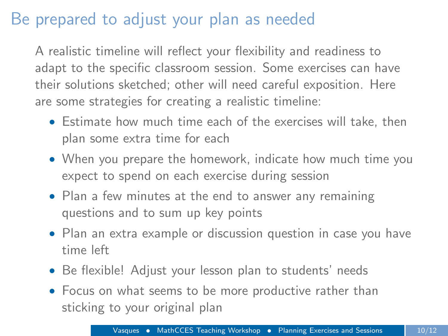# Be prepared to adjust your plan as needed

A realistic timeline will reflect your flexibility and readiness to adapt to the specific classroom session. Some exercises can have their solutions sketched; other will need careful exposition. Here are some strategies for creating a realistic timeline:

- Estimate how much time each of the exercises will take, then plan some extra time for each
- When you prepare the homework, indicate how much time you expect to spend on each exercise during session
- Plan a few minutes at the end to answer any remaining questions and to sum up key points
- Plan an extra example or discussion question in case you have time left
- Be flexible! Adjust your lesson plan to students' needs
- Focus on what seems to be more productive rather than sticking to your original plan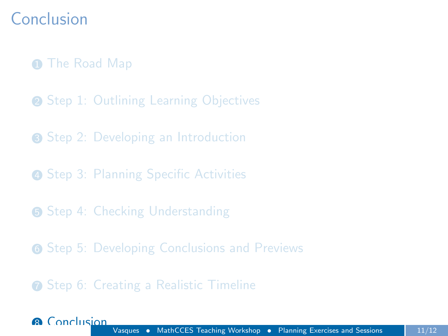### [Conclusion](#page-17-0)

- **1** [The Road Map](#page-1-0)
- **2** [Step 1: Outlining Learning Objectives](#page-4-0)
- **3** [Step 2: Developing an Introduction](#page-7-0)
- **4 [Step 3: Planning Specific Activities](#page-9-0)**
- **6** [Step 4: Checking Understanding](#page-11-0)
- **6** [Step 5: Developing Conclusions and Previews](#page-13-0)
- <span id="page-17-0"></span>**•** [Step 6: Creating a Realistic Timeline](#page-15-0)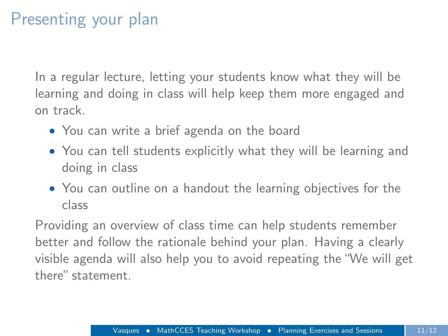# Presenting your plan

In a regular lecture, letting your students know what they will be learning and doing in class will help keep them more engaged and on track.

- You can write a brief agenda on the board
- You can tell students explicitly what they will be learning and doing in class
- You can outline on a handout the learning objectives for the class

Providing an overview of class time can help students remember better and follow the rationale behind your plan. Having a clearly visible agenda will also help you to avoid repeating the "We will get there" statement.